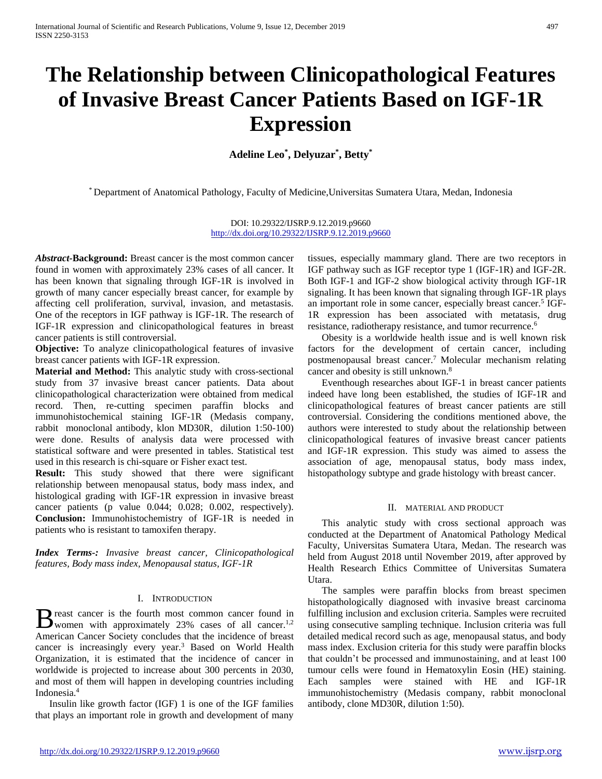# **The Relationship between Clinicopathological Features of Invasive Breast Cancer Patients Based on IGF-1R Expression**

**Adeline Leo\* , Delyuzar\* , Betty\***

\* Department of Anatomical Pathology, Faculty of Medicine,Universitas Sumatera Utara, Medan, Indonesia

DOI: 10.29322/IJSRP.9.12.2019.p9660 <http://dx.doi.org/10.29322/IJSRP.9.12.2019.p9660>

*Abstract-***Background:** Breast cancer is the most common cancer found in women with approximately 23% cases of all cancer. It has been known that signaling through IGF-1R is involved in growth of many cancer especially breast cancer, for example by affecting cell proliferation, survival, invasion, and metastasis. One of the receptors in IGF pathway is IGF-1R. The research of IGF-1R expression and clinicopathological features in breast cancer patients is still controversial.

**Objective:** To analyze clinicopathological features of invasive breast cancer patients with IGF-1R expression.

**Material and Method:** This analytic study with cross-sectional study from 37 invasive breast cancer patients. Data about clinicopathological characterization were obtained from medical record. Then, re-cutting specimen paraffin blocks and immunohistochemical staining IGF-1R (Medasis company, rabbit monoclonal antibody, klon MD30R, dilution 1:50-100) were done. Results of analysis data were processed with statistical software and were presented in tables. Statistical test used in this research is chi-square or Fisher exact test.

**Result:** This study showed that there were significant relationship between menopausal status, body mass index, and histological grading with IGF-1R expression in invasive breast cancer patients (p value 0.044; 0.028; 0.002, respectively). **Conclusion:** Immunohistochemistry of IGF-1R is needed in patients who is resistant to tamoxifen therapy.

*Index Terms-: Invasive breast cancer, Clinicopathological features, Body mass index, Menopausal status, IGF-1R*

# I. INTRODUCTION

reast cancer is the fourth most common cancer found in B reast cancer is the fourth most common cancer found in women with approximately 23% cases of all cancer.<sup>1,2</sup> American Cancer Society concludes that the incidence of breast cancer is increasingly every year.<sup>3</sup> Based on World Health Organization, it is estimated that the incidence of cancer in worldwide is projected to increase about 300 percents in 2030, and most of them will happen in developing countries including Indonesia.<sup>4</sup>

Insulin like growth factor (IGF) 1 is one of the IGF families that plays an important role in growth and development of many

tissues, especially mammary gland. There are two receptors in IGF pathway such as IGF receptor type 1 (IGF-1R) and IGF-2R. Both IGF-1 and IGF-2 show biological activity through IGF-1R signaling. It has been known that signaling through IGF-1R plays an important role in some cancer, especially breast cancer.<sup>5</sup> IGF-1R expression has been associated with metatasis, drug resistance, radiotherapy resistance, and tumor recurrence.<sup>6</sup>

Obesity is a worldwide health issue and is well known risk factors for the development of certain cancer, including postmenopausal breast cancer.<sup>7</sup> Molecular mechanism relating cancer and obesity is still unknown.<sup>8</sup>

Eventhough researches about IGF-1 in breast cancer patients indeed have long been established, the studies of IGF-1R and clinicopathological features of breast cancer patients are still controversial. Considering the conditions mentioned above, the authors were interested to study about the relationship between clinicopathological features of invasive breast cancer patients and IGF-1R expression. This study was aimed to assess the association of age, menopausal status, body mass index, histopathology subtype and grade histology with breast cancer.

# II. MATERIAL AND PRODUCT

This analytic study with cross sectional approach was conducted at the Department of Anatomical Pathology Medical Faculty, Universitas Sumatera Utara, Medan. The research was held from August 2018 until November 2019, after approved by Health Research Ethics Committee of Universitas Sumatera Utara.

The samples were paraffin blocks from breast specimen histopathologically diagnosed with invasive breast carcinoma fulfilling inclusion and exclusion criteria. Samples were recruited using consecutive sampling technique. Inclusion criteria was full detailed medical record such as age, menopausal status, and body mass index. Exclusion criteria for this study were paraffin blocks that couldn't be processed and immunostaining, and at least 100 tumour cells were found in Hematoxylin Eosin (HE) staining. Each samples were stained with HE and IGF-1R immunohistochemistry (Medasis company, rabbit monoclonal antibody, clone MD30R, dilution 1:50).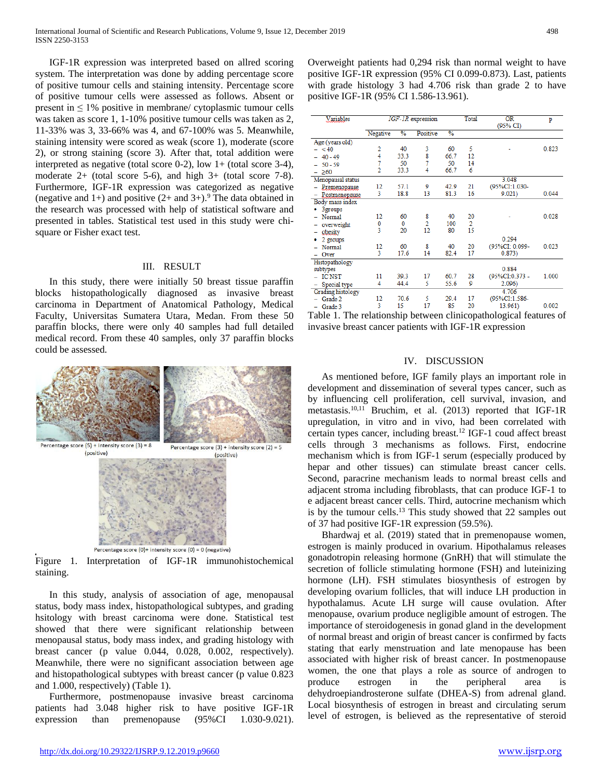IGF-1R expression was interpreted based on allred scoring system. The interpretation was done by adding percentage score of positive tumour cells and staining intensity. Percentage score of positive tumour cells were assessed as follows. Absent or present in  $\leq 1\%$  positive in membrane/ cytoplasmic tumour cells was taken as score 1, 1-10% positive tumour cells was taken as 2, 11-33% was 3, 33-66% was 4, and 67-100% was 5. Meanwhile, staining intensity were scored as weak (score 1), moderate (score 2), or strong staining (score 3). After that, total addition were interpreted as negative (total score 0-2), low 1+ (total score 3-4), moderate  $2+$  (total score 5-6), and high  $3+$  (total score 7-8). Furthermore, IGF-1R expression was categorized as negative (negative and 1+) and positive  $(2+$  and  $3+)$ .<sup>9</sup> The data obtained in the research was processed with help of statistical software and presented in tables. Statistical test used in this study were chisquare or Fisher exact test.

## III. RESULT

In this study, there were initially 50 breast tissue paraffin blocks histopathologically diagnosed as invasive breast carcinoma in Department of Anatomical Pathology, Medical Faculty, Universitas Sumatera Utara, Medan. From these 50 paraffin blocks, there were only 40 samples had full detailed medical record. From these 40 samples, only 37 paraffin blocks could be assessed.



Percentage score  $(0)$ + intensity score  $(0)$  = 0 (negative) Figure 1. Interpretation of IGF-1R immunohistochemical staining.

In this study, analysis of association of age, menopausal status, body mass index, histopathological subtypes, and grading hsitology with breast carcinoma were done. Statistical test showed that there were significant relationship between menopausal status, body mass index, and grading histology with breast cancer (p value 0.044, 0.028, 0.002, respectively). Meanwhile, there were no significant association between age and histopathological subtypes with breast cancer (p value 0.823 and 1.000, respectively) (Table 1).

Furthermore, postmenopause invasive breast carcinoma patients had 3.048 higher risk to have positive IGF-1R expression than premenopause (95%CI 1.030-9.021). Overweight patients had 0,294 risk than normal weight to have positive IGF-1R expression (95% CI 0.099-0.873). Last, patients with grade histology 3 had 4.706 risk than grade 2 to have positive IGF-1R (95% CI 1.586-13.961).

| <b>Variables</b>         | IGF-1R expression |               |          |               | Total          | 0R.<br>(95% CI) | p     |
|--------------------------|-------------------|---------------|----------|---------------|----------------|-----------------|-------|
|                          | Negative          | $\frac{0}{6}$ | Positive | $\frac{0}{6}$ |                |                 |       |
| Age (years old)          |                   |               |          |               |                |                 |       |
| $- < 40$                 | 2                 | 40            | 3        | 60            | 5              |                 | 0.823 |
| $-40-49$                 | 4                 | 33.3          | 8        | 66.7          | 12             |                 |       |
| $-50-59$                 | 7                 | 50            | 7        | 50            | 14             |                 |       |
| $-260$                   | $\overline{2}$    | 33.3          | 4        | 66.7          | 6              |                 |       |
| Menopausal status        |                   |               |          |               |                | 3.048           |       |
| - Premenopause           | 12                | 57.1          | 9        | 42.9          | 21             | (95%CI:1.030-   |       |
| - Postmenopause          | 3                 | 18.8          | 13       | 81.3          | 16             | 9.021           | 0.044 |
| Body mass index          |                   |               |          |               |                |                 |       |
| 3groups                  |                   |               |          |               |                |                 |       |
| - Normal                 | 12                | 60            | 8        | 40            | 20             |                 | 0.028 |
| - overweight             | 0                 | 0             | 2        | 100           | $\overline{2}$ |                 |       |
| obesity                  | 3                 | 20            | 12       | 80            | 15             |                 |       |
| 2 groups                 |                   |               |          |               |                | 0.294           |       |
| Normal                   | 12                | 60            | 8        | 40            | 20             | (95%CI: 0.099-  | 0.023 |
| Over                     | 3                 | 17.6          | 14       | 82.4          | 17             | 0.873)          |       |
| Histopathology           |                   |               |          |               |                |                 |       |
| subtypes                 |                   |               |          |               |                | 0.884           |       |
| <b>ICNST</b>             | 11                | 39.3          | 17       | 60.7          | 28             | (95%CI:0.373 -  | 1.000 |
| Special type<br>-        | 4                 | 44.4          | 5        | 55.6          | 9              | 2.096           |       |
| <b>Grading histology</b> |                   |               |          |               |                | 4.706           |       |
| Grade 2                  | 12                | 70.6          | 5        | 29.4          | 17             | (95%CI:1.586-   |       |
| Grade 3                  | 3                 | 15            | 17       | 85            | 20             | 13.961)         | 0.002 |

Table 1. The relationship between clinicopathological features of invasive breast cancer patients with IGF-1R expression

### IV. DISCUSSION

As mentioned before, IGF family plays an important role in development and dissemination of several types cancer, such as by influencing cell proliferation, cell survival, invasion, and metastasis.10,11 Bruchim, et al. (2013) reported that IGF-1R upregulation, in vitro and in vivo, had been correlated with certain types cancer, including breast.<sup>12</sup> IGF-1 coud affect breast cells through 3 mechanisms as follows. First, endocrine mechanism which is from IGF-1 serum (especially produced by hepar and other tissues) can stimulate breast cancer cells. Second, paracrine mechanism leads to normal breast cells and adjacent stroma including fibroblasts, that can produce IGF-1 to e adjacent breast cancer cells. Third, autocrine mechanism which is by the tumour cells.<sup>13</sup> This study showed that 22 samples out of 37 had positive IGF-1R expression (59.5%).

Bhardwaj et al. (2019) stated that in premenopause women, estrogen is mainly produced in ovarium. Hipothalamus releases gonadotropin releasing hormone (GnRH) that will stimulate the secretion of follicle stimulating hormone (FSH) and luteinizing hormone (LH). FSH stimulates biosynthesis of estrogen by developing ovarium follicles, that will induce LH production in hypothalamus. Acute LH surge will cause ovulation. After menopause, ovarium produce negligible amount of estrogen. The importance of steroidogenesis in gonad gland in the development of normal breast and origin of breast cancer is confirmed by facts stating that early menstruation and late menopause has been associated with higher risk of breast cancer. In postmenopause women, the one that plays a role as source of androgen to produce estrogen in the peripheral area is dehydroepiandrosterone sulfate (DHEA-S) from adrenal gland. Local biosynthesis of estrogen in breast and circulating serum level of estrogen, is believed as the representative of steroid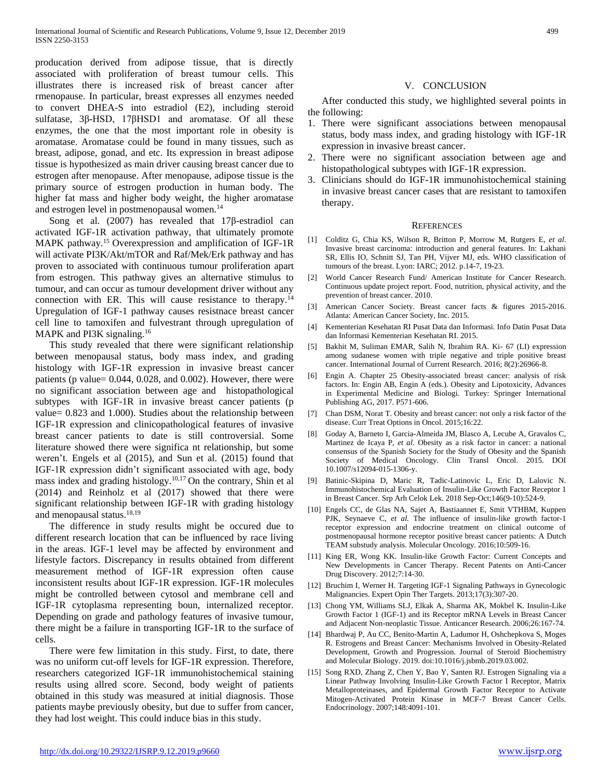producation derived from adipose tissue, that is directly associated with proliferation of breast tumour cells. This illustrates there is increased risk of breast cancer after rmenopause. In particular, breast expresses all enzymes needed to convert DHEA-S into estradiol (E2), including steroid sulfatase, 3β-HSD, 17βHSD1 and aromatase. Of all these enzymes, the one that the most important role in obesity is aromatase. Aromatase could be found in many tissues, such as breast, adipose, gonad, and etc. Its expression in breast adipose tissue is hypothesized as main driver causing breast cancer due to estrogen after menopause. After menopause, adipose tissue is the primary source of estrogen production in human body. The higher fat mass and higher body weight, the higher aromatase and estrogen level in postmenopausal women.<sup>14</sup>

Song et al. (2007) has revealed that 17β-estradiol can activated IGF-1R activation pathway, that ultimately promote MAPK pathway.<sup>15</sup> Overexpression and amplification of IGF-1R will activate PI3K/Akt/mTOR and Raf/Mek/Erk pathway and has proven to associated with continuous tumour proliferation apart from estrogen. This pathway gives an alternative stimulus to tumour, and can occur as tumour development driver without any connection with ER. This will cause resistance to therapy.<sup>14</sup> Upregulation of IGF-1 pathway causes resistnace breast cancer cell line to tamoxifen and fulvestrant through upregulation of MAPK and PI3K signaling.<sup>16</sup>

This study revealed that there were significant relationship between menopausal status, body mass index, and grading histology with IGF-1R expression in invasive breast cancer patients (p value= 0.044, 0.028, and 0.002). However, there were no significant association between age and histopathological subtypes with IGF-1R in invasive breast cancer patients (p value= 0.823 and 1.000). Studies about the relationship between IGF-1R expression and clinicopathological features of invasive breast cancer patients to date is still controversial. Some literature showed there were significa nt relationship, but some weren't. Engels et al (2015), and Sun et al. (2015) found that IGF-1R expression didn't significant associated with age, body mass index and grading histology.<sup>10,17</sup> On the contrary, Shin et al (2014) and Reinholz et al (2017) showed that there were significant relationship between IGF-1R with grading histology and menopausal status.<sup>18,19</sup>

The difference in study results might be occured due to different research location that can be influenced by race living in the areas. IGF-1 level may be affected by environment and lifestyle factors. Discrepancy in results obtained from different measurement method of IGF-1R expression often cause inconsistent results about IGF-1R expression. IGF-1R molecules might be controlled between cytosol and membrane cell and IGF-1R cytoplasma representing boun, internalized receptor. Depending on grade and pathology features of invasive tumour, there might be a failure in transporting IGF-1R to the surface of cells.

There were few limitation in this study. First, to date, there was no uniform cut-off levels for IGF-1R expression. Therefore, researchers categorized IGF-1R immunohistochemical staining results using allred score. Second, body weight of patients obtained in this study was measured at initial diagnosis. Those patients maybe previously obesity, but due to suffer from cancer, they had lost weight. This could induce bias in this study.

## V. CONCLUSION

After conducted this study, we highlighted several points in the following:

- 1. There were significant associations between menopausal status, body mass index, and grading histology with IGF-1R expression in invasive breast cancer.
- 2. There were no significant association between age and histopathological subtypes with IGF-1R expression.
- 3. Clinicians should do IGF-1R immunohistochemical staining in invasive breast cancer cases that are resistant to tamoxifen therapy.

#### **REFERENCES**

- [1] Colditz G, Chia KS, Wilson R, Britton P, Morrow M, Rutgers E, *et al*. Invasive breast carcinoma: introduction and general features. In: Lakhani SR, Ellis IO, Schnitt SJ, Tan PH, Vijver MJ, eds. WHO classification of tumours of the breast. Lyon: IARC; 2012. p.14-7, 19-23.
- [2] World Cancer Research Fund/ American Institute for Cancer Research. Continuous update project report. Food, nutrition, physical activity, and the prevention of breast cancer. 2010.
- [3] American Cancer Society. Breast cancer facts & figures 2015-2016. Atlanta: American Cancer Society, Inc. 2015.
- [4] Kementerian Kesehatan RI Pusat Data dan Informasi. Info Datin Pusat Data dan Informasi Kementerian Kesehatan RI. 2015.
- [5] Bakhit M, Suliman EMAR, Salih N, Ibrahim RA. Ki- 67 (LI) expression among sudanese women with triple negative and triple positive breast cancer. International Journal of Current Research. 2016; 8(2):26966-8.
- [6] Engin A. Chapter 25 Obesity-associated breast cancer: analysis of risk factors. In: Engin AB, Engin A (eds.). Obesity and Lipotoxicity, Advances in Experimental Medicine and Biologi. Turkey: Springer International Publishing AG, 2017. P571-606.
- [7] Chan DSM, Norat T. Obesity and breast cancer: not only a risk factor of the disease. Curr Treat Options in Oncol. 2015;16:22.
- [8] Goday A, Barneto I, Garcia-Almeida JM, Blasco A, Lecube A, Gravalos C, Martinez de Icaya P, *et al.* Obesity as a risk factor in cancer: a national consensus of the Spanish Society for the Study of Obesity and the Spanish Society of Medical Oncology. Clin Transl Oncol. 2015. DOI 10.1007/s12094-015-1306-y.
- [9] Batinic-Skipina D, Maric R, Tadic-Latinovic L, Eric D, Lalovic N. Immunohistochemical Evaluation of Insulin-Like Growth Factor Receptor 1 in Breast Cancer. Srp Arh Celok Lek. 2018 Sep-Oct;146(9-10):524-9.
- [10] Engels CC, de Glas NA, Sajet A, Bastiaannet E, Smit VTHBM, Kuppen PJK, Seynaeve C, et al. The influence of insulin-like growth factor-1 receptor expression and endocrine treatment on clinical outcome of postmenopausal hormone receptor positive breast cancer patients: A Dutch TEAM substudy analysis. Molecular Oncology. 2016;10:509-16.
- [11] King ER, Wong KK. Insulin-like Growth Factor: Current Concepts and New Developments in Cancer Therapy. Recent Patents on Anti-Cancer Drug Discovery. 2012;7:14-30.
- [12] Bruchim I, Werner H. Targeting IGF-1 Signaling Pathways in Gynecologic Malignancies. Expert Opin Ther Targets. 2013;17(3):307-20.
- [13] Chong YM, Williams SLJ, Elkak A, Sharma AK, Mokbel K. Insulin-Like Growth Factor 1 (IGF-1) and its Receptor mRNA Levels in Breast Cancer and Adjacent Non-neoplastic Tissue. Anticancer Research. 2006;26:167-74.
- [14] Bhardwaj P, Au CC, Benito-Martin A, Ladumor H, Oshchepkova S, Moges R. Estrogens and Breast Cancer: Mechanisms Involved in Obesity-Related Development, Growth and Progression. Journal of Steroid Biochemistry and Molecular Biology. 2019. doi:10.1016/j.jsbmb.2019.03.002.
- [15] Song RXD, Zhang Z, Chen Y, Bao Y, Santen RJ. Estrogen Signaling via a Linear Pathway Involving Insulin-Like Growth Factor I Receptor, Matrix Metalloproteinases, and Epidermal Growth Factor Receptor to Activate Mitogen-Activated Protein Kinase in MCF-7 Breast Cancer Cells. Endocrinology. 2007;148:4091-101.